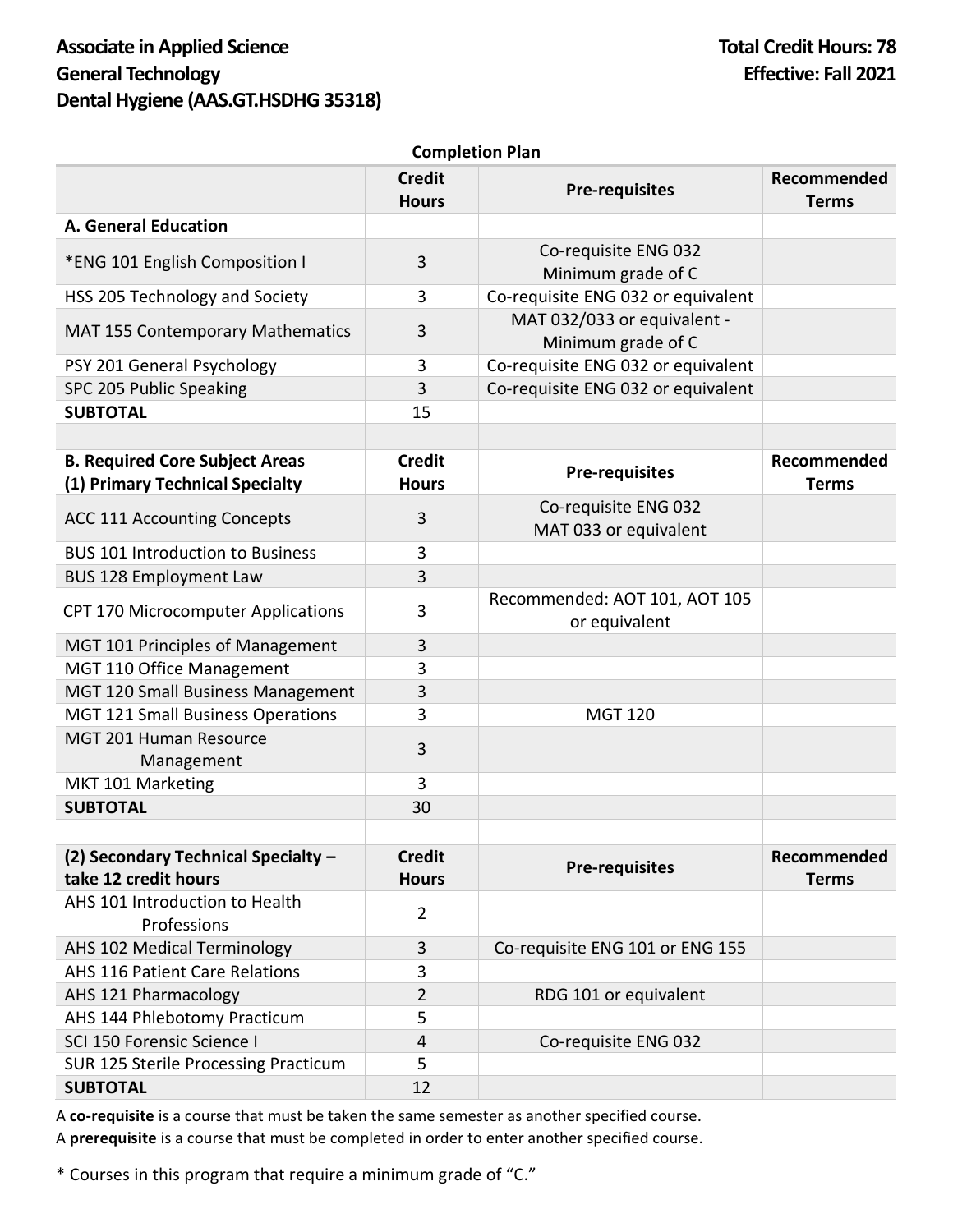## Associate in Applied Science **Total Credit Hours: 78 General Technology Effective: Fall 2021 Dental Hygiene (AAS.GT.HSDHG 35318)**

| יושו ו וטוואטונוט                                                        |                               |                                                   |                             |
|--------------------------------------------------------------------------|-------------------------------|---------------------------------------------------|-----------------------------|
|                                                                          | <b>Credit</b><br><b>Hours</b> | <b>Pre-requisites</b>                             | Recommended<br><b>Terms</b> |
| <b>A. General Education</b>                                              |                               |                                                   |                             |
| *ENG 101 English Composition I                                           | 3                             | Co-requisite ENG 032                              |                             |
|                                                                          |                               | Minimum grade of C                                |                             |
| HSS 205 Technology and Society                                           | 3                             | Co-requisite ENG 032 or equivalent                |                             |
| <b>MAT 155 Contemporary Mathematics</b>                                  | 3                             | MAT 032/033 or equivalent -<br>Minimum grade of C |                             |
| PSY 201 General Psychology                                               | 3                             | Co-requisite ENG 032 or equivalent                |                             |
| SPC 205 Public Speaking                                                  | 3                             | Co-requisite ENG 032 or equivalent                |                             |
| <b>SUBTOTAL</b>                                                          | 15                            |                                                   |                             |
|                                                                          |                               |                                                   |                             |
| <b>B. Required Core Subject Areas</b><br>(1) Primary Technical Specialty | <b>Credit</b><br><b>Hours</b> | <b>Pre-requisites</b>                             | Recommended<br><b>Terms</b> |
| <b>ACC 111 Accounting Concepts</b>                                       | 3                             | Co-requisite ENG 032<br>MAT 033 or equivalent     |                             |
| <b>BUS 101 Introduction to Business</b>                                  | 3                             |                                                   |                             |
| <b>BUS 128 Employment Law</b>                                            | 3                             |                                                   |                             |
| CPT 170 Microcomputer Applications                                       | 3                             | Recommended: AOT 101, AOT 105<br>or equivalent    |                             |
| MGT 101 Principles of Management                                         | 3                             |                                                   |                             |
| MGT 110 Office Management                                                | 3                             |                                                   |                             |
| MGT 120 Small Business Management                                        | 3                             |                                                   |                             |
| MGT 121 Small Business Operations                                        | 3                             | <b>MGT 120</b>                                    |                             |
| MGT 201 Human Resource<br>Management                                     | 3                             |                                                   |                             |
| MKT 101 Marketing                                                        | 3                             |                                                   |                             |
| <b>SUBTOTAL</b>                                                          | 30                            |                                                   |                             |
|                                                                          |                               |                                                   |                             |
| (2) Secondary Technical Specialty -                                      | <b>Credit</b>                 | <b>Pre-requisites</b>                             | Recommended                 |
| take 12 credit hours                                                     | <b>Hours</b>                  |                                                   | <b>Terms</b>                |
| AHS 101 Introduction to Health<br>Professions                            | $\overline{2}$                |                                                   |                             |
| AHS 102 Medical Terminology                                              | 3                             | Co-requisite ENG 101 or ENG 155                   |                             |
| <b>AHS 116 Patient Care Relations</b>                                    | 3                             |                                                   |                             |
| AHS 121 Pharmacology                                                     | $\overline{2}$                | RDG 101 or equivalent                             |                             |
| AHS 144 Phlebotomy Practicum                                             | 5                             |                                                   |                             |
| SCI 150 Forensic Science I                                               | 4                             | Co-requisite ENG 032                              |                             |
| SUR 125 Sterile Processing Practicum                                     | 5                             |                                                   |                             |
| <b>SUBTOTAL</b>                                                          | 12                            |                                                   |                             |

**Completion Plan**

A **co-requisite** is a course that must be taken the same semester as another specified course. A **prerequisite** is a course that must be completed in order to enter another specified course.

\* Courses in this program that require a minimum grade of "C."